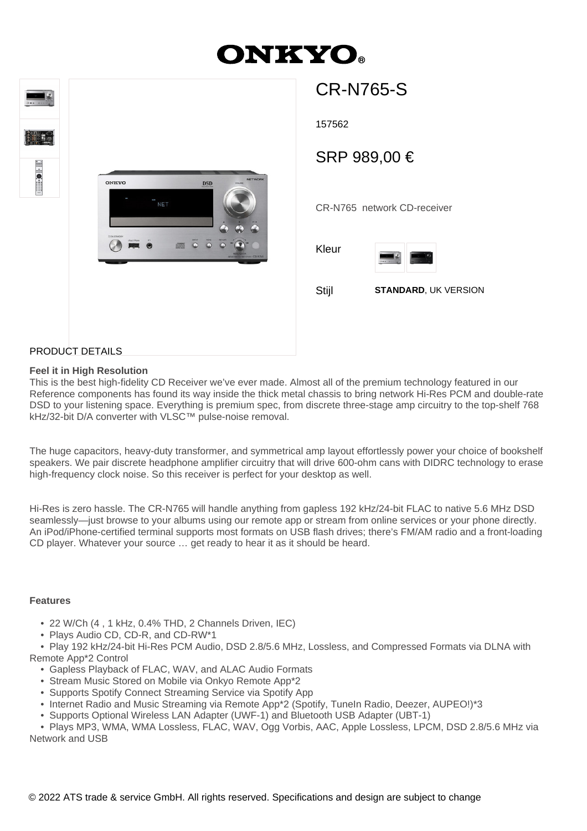# **ONKYO**



## CR-N765-S

157562

### SRP 989,00 €

CR-N765 network CD-receiver

Kleur





#### PRODUCT DETAILS

#### **Feel it in High Resolution**

This is the best high-fidelity CD Receiver we've ever made. Almost all of the premium technology featured in our Reference components has found its way inside the thick metal chassis to bring network Hi-Res PCM and double-rate DSD to your listening space. Everything is premium spec, from discrete three-stage amp circuitry to the top-shelf 768 kHz/32-bit D/A converter with VLSC™ pulse-noise removal.

The huge capacitors, heavy-duty transformer, and symmetrical amp layout effortlessly power your choice of bookshelf speakers. We pair discrete headphone amplifier circuitry that will drive 600-ohm cans with DIDRC technology to erase high-frequency clock noise. So this receiver is perfect for your desktop as well.

Hi-Res is zero hassle. The CR-N765 will handle anything from gapless 192 kHz/24-bit FLAC to native 5.6 MHz DSD seamlessly—just browse to your albums using our remote app or stream from online services or your phone directly. An iPod/iPhone-certified terminal supports most formats on USB flash drives; there's FM/AM radio and a front-loading CD player. Whatever your source … get ready to hear it as it should be heard.

#### **Features**

- 22 W/Ch (4 , 1 kHz, 0.4% THD, 2 Channels Driven, IEC)
- Plays Audio CD, CD-R, and CD-RW\*1

 • Play 192 kHz/24-bit Hi-Res PCM Audio, DSD 2.8/5.6 MHz, Lossless, and Compressed Formats via DLNA with Remote App\*2 Control

- Gapless Playback of FLAC, WAV, and ALAC Audio Formats
- Stream Music Stored on Mobile via Onkyo Remote App\*2
- Supports Spotify Connect Streaming Service via Spotify App
- Internet Radio and Music Streaming via Remote App\*2 (Spotify, TuneIn Radio, Deezer, AUPEO!)\*3
- Supports Optional Wireless LAN Adapter (UWF-1) and Bluetooth USB Adapter (UBT-1)

 • Plays MP3, WMA, WMA Lossless, FLAC, WAV, Ogg Vorbis, AAC, Apple Lossless, LPCM, DSD 2.8/5.6 MHz via Network and USB